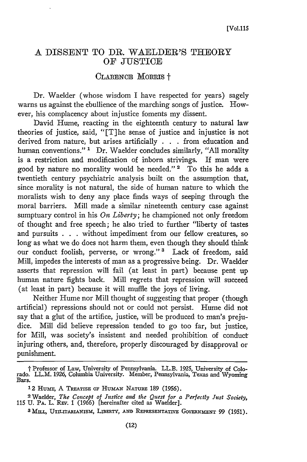## A DISSENT TO DR. WAELDER'S THEORY OF JUSTICE

## CLARENCE MORRIS +

Dr. Waelder (whose wisdom I have respected for years) sagely warns us against the ebullience of the marching songs of justice. However, his complacency about injustice foments my dissent.

David Hume, reacting in the eighteenth century to natural law theories of justice, said, "[T]he sense of justice and injustice is not derived from nature, but arises artificially **. .** from education and human conventions." **1** Dr. Waelder concludes similarly, "All morality is a restriction and modification of inborn strivings. If man were good by nature no morality would be needed." **2** To this he adds a twentieth century psychiatric analysis built on the assumption that, since morality is not natural, the side of human nature to which the moralists wish to deny any place finds ways of seeping through the moral barriers. Mill made a similar nineteenth century case against sumptuary control in his On *Liberty;* he championed not only freedom of thought and free speech; he also tried to further "liberty of tastes and pursuits . . **.** without impediment from our fellow creatures, so long as what we do does not harm them, even though they should think our conduct foolish, perverse, or wrong."<sup>3</sup> Lack of freedom, said Mill, impedes the interests of man as a progressive being. Dr. Waelder asserts that repression will fail (at least in part) because pent up human nature fights back. Mill regrets that repression will succeed (at least in part) because it will muffle the joys of living.

Neither Hume nor Mill thought of suggesting that proper (though artificial) repressions should not or could not persist. Hume did not say that a glut of the artifice, justice, will be produced to man's prejudice. Mill did believe repression tended to go too far, but justice, for Mill, was society's insistent and needed prohibition of conduct injuring others, and, therefore, properly discouraged by disapproval or punishment.

t Professor of Law, University of Pennsylvania. LL.B. *1925,* University of Colorado. LL.M. 1926, Columbia University. Member, Pennsylvania, Texas and Wyoming Bars.

<sup>&</sup>lt;sup>1</sup>2 HUME, A TREATISE OF HUMAN NATURE 189 (1956).

<sup>2</sup> Waelder, *The Concept of Justice and the Quest for a Perfectly Just Society,* 115 U. P.a. L. REv. 1 (1966) [hereinafter cited as Waelder]

<sup>&</sup>lt;sup>3</sup> Mill, UTILITARIANISM, LIBERTY, AND REPRESENTATIVE GOVERNMENT 99 (1951).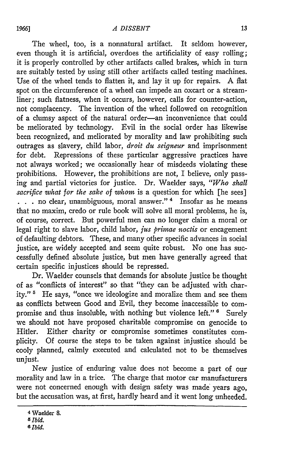The wheel, too, is a nonnatural artifact. It seldom however, even though it is artificial, overdoes the artificiality of easy rolling; it is properly controlled **by** other artifacts called brakes, which in turn are suitably tested **by** using still other artifacts called testing machines. Use of the wheel tends to flatten it, and lay it up for repairs. A flat spot on the circumference of a wheel can impede an oxcart or a streamliner; such flatness, when it occurs, however, calls for counter-action, not complacency. The invention of the wheel followed on recognition of a clumsy aspect of the natural order-an inconvenience that could be meliorated **by** technology. Evil in the social order has likewise been recognized, and meliorated **by** morality and law prohibiting such outrages as slavery, child labor, *droit du seigneur* and imprisonment for debt. Repressions of these particular aggressive practices have not always worked; we occasionally hear of misdeeds violating these prohibitions. However, the prohibitions are not, I believe, only passing and partial victories for justice. Dr. Waelder says, *"Who shall sacrifice what for the sake of whom* is a question for which [he sees] **..** no clear, unambiguous, moral answer." **'** Insofar as he means that no maxim, credo or rule book will solve all moral problems, he is, of course, correct. But powerful men can no longer claim a moral or legal right to slave labor, child labor, *jus primae noctis* or encagement of defaulting debtors. These, and many other specific advances in social justice, are widely accepted and seem quite robust. No one has successfully defined absolute justice, but men have generally agreed that certain specific injustices should be repressed.

Dr. Waelder counsels that demands for absolute justice be thought of as "conflicts of interest" so that "they can be adjusted with charity." **'** He says, "once we ideologize and moralize them and see them as conflicts between Good and Evil, they become inaccessible to compromise and thus insoluble, with nothing but violence left."<sup>6</sup> Surely we should not have proposed charitable compromise on genocide to Hitler. Either charity or compromise sometimes constitutes complicity. Of course the steps to be taken against injustice should be cooly planned, calmly executed and calculated not to be themselves unjust.

New justice of enduring value does not become a part of our morality and law in a trice. The charge that motor car manufacturers were not concerned enough with design safety was made years ago, but the accusation was, at first, hardly heard and it went long unheeded.

<sup>4</sup> Waelder 8. *5 Ibid. 8 Ibid.*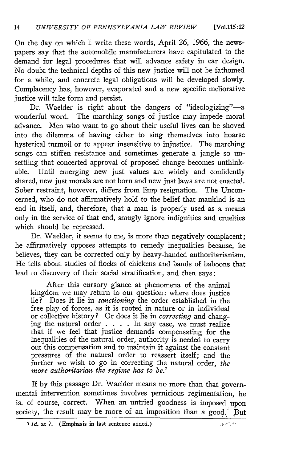On the day on which I write these words, April 26, 1966, the newspapers say that the automobile manufacturers have capitulated to the demand for legal procedures that will advance safety in car design. No doubt the technical depths of this new justice will not be fathomed for a while, and concrete legal obligations will be developed slowly. Complacency has, however, evaporated and a new specific meliorative justice will take form and persist.

Dr. Waelder is right about the dangers of "ideologizing"-a wonderful word. The marching songs of justice may impede moral advance. Men who want to go about their useful lives can be shoved into the dilemma of having either to sing themselves into hoarse hysterical turmoil or to appear insensitive to injustice. The marching songs can stiffen resistance and sometimes generate a jangle so unsettling that concerted approval of proposed change becomes unthinkable. Until emerging new just values are widely and confidently shared, new just morals are not born and new just laws are not enacted. Sober restraint, however, differs from limp resignation. The Unconcerned, who do not affirmatively hold to the belief that mankind is an end in itself, and, therefore, that a man is properly used as a means only in the service of that end, smugly ignore indignities and cruelties which should be repressed.

Dr. Waelder, it seems to me, is more than negatively complacent; he affirmatively opposes attempts to remedy inequalities because, he believes, they can be corrected only by heavy-handed authoritarianism. He tells about studies of flocks of chickens and bands of baboons that lead to discovery of their social stratification, and then says:

After this cursory glance at phenomena of the animal kingdom we may return to our question: where does justice lie? Does it lie in *sanctioning* the order established in the free play of forces, as it is rooted in nature or in individual or collective history? Or does it lie in *correcting* and changing the natural order . **. .** . In any case, we must realize that if we feel that justice demands compensating for the inequalities of the natural order, authority is needed to carry out this compensation and to maintain it against the constant pressures of the natural order to reassert itself; and the further we wish to go in correcting the natural order, *the more authoritarian the regime has to be.7*

If by this passage Dr. Waelder means no more than that governmental intervention sometimes involves pernicious regimentation, he is, of course, correct. When an untried goodness is imposed upon society, the result may be more of an imposition than a good. But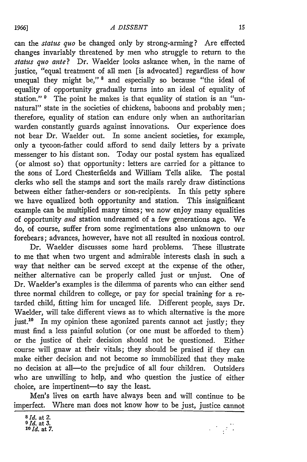can the *status quo* be changed only by strong-arming? Are effected changes invariably threatened by men who struggle to return to the *status quo ante?* Dr. Waelder looks askance when, in the name of justice, "equal treatment of all men [is advocated] regardless of how unequal they might be," 8 and especially so because "the ideal of equality of opportunity gradually turns into an ideal of equality of station." <sup>9</sup> The point he makes is that equality of station is an "unnatural" state in the societies of chickens, baboons and probably men; therefore, equality of station can endure only when an authoritarian warden constantly guards against innovations. Our experience does not bear Dr. Waelder out. In some ancient societies, for example, only a tycoon-father could afford to send daily letters by a private messenger to his distant son. Today our postal system has equalized (or almost so) that opportunity: letters are carried for a pittance to the sons of Lord Chesterfields and William Tells alike. The postal clerks who sell the stamps and sort the mails rarely draw distinctions between either father-senders or son-recipients. In this petty sphere we have equalized both opportunity and station. This insignificant example can be multiplied many times; we now enjoy many equalities of opportunity *and* station undreamed of a few generations ago. We do, of course, suffer from some regimentations also unknown to our forebears; advances, however, have not all resulted in noxious control.

Dr. Waelder discusses some hard problems. These illustrate to me that when two urgent and admirable interests clash in such a way that neither can be served except at the expense of the other, neither alternative can be properly called just or unjust. One of Dr. Waelder's examples is the dilemma of parents who can either send three normal children to college, or pay for special training for a retarded child, fitting him for uncaged life. Different people, says Dr. Waelder, will take different views as to which alternative is the more just.<sup>10</sup> In my opinion these agonized parents cannot act justly; they must find a less painful solution (or one must be afforded to them) or the justice of their decision should not be questioned. Either course will gnaw at their vitals; they should be praised if they can make either decision and not become so immobilized that they make no decision at all-to the prejudice of all four children. Outsiders who are unwilling to help, and who question the justice of either choice, are impertinent-to say the least.

Men's lives on earth have always been and will continue to be imperfect. Where man does not know how to be just, justice cannot

 $\mathcal{L} \subset \mathcal{L}$ 

*<sup>8</sup> Id.* **at 2. 9** *Id.* **at 3.** *1I d.* at **7.**